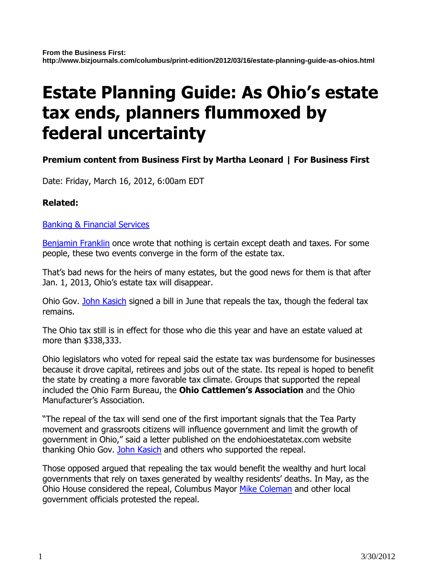# Estate Planning Guide: As Ohio's estate tax ends, planners flummoxed by federal uncertainty

## Premium content from Business First by Martha Leonard | For Business First

Date: Friday, March 16, 2012, 6:00am EDT

### Related:

Banking & Financial Services

Benjamin Franklin once wrote that nothing is certain except death and taxes. For some people, these two events converge in the form of the estate tax.

That's bad news for the heirs of many estates, but the good news for them is that after Jan. 1, 2013, Ohio's estate tax will disappear.

Ohio Gov. John Kasich signed a bill in June that repeals the tax, though the federal tax remains.

The Ohio tax still is in effect for those who die this year and have an estate valued at more than \$338,333.

Ohio legislators who voted for repeal said the estate tax was burdensome for businesses because it drove capital, retirees and jobs out of the state. Its repeal is hoped to benefit the state by creating a more favorable tax climate. Groups that supported the repeal included the Ohio Farm Bureau, the Ohio Cattlemen's Association and the Ohio Manufacturer's Association.

"The repeal of the tax will send one of the first important signals that the Tea Party movement and grassroots citizens will influence government and limit the growth of government in Ohio," said a letter published on the endohioestatetax.com website thanking Ohio Gov. John Kasich and others who supported the repeal.

Those opposed argued that repealing the tax would benefit the wealthy and hurt local governments that rely on taxes generated by wealthy residents' deaths. In May, as the Ohio House considered the repeal, Columbus Mayor Mike Coleman and other local government officials protested the repeal.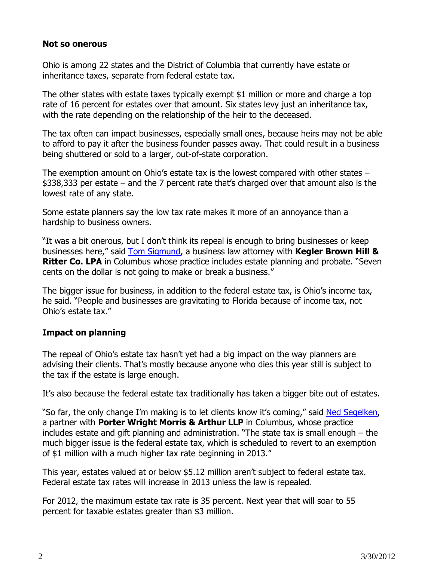#### Not so onerous

Ohio is among 22 states and the District of Columbia that currently have estate or inheritance taxes, separate from federal estate tax.

The other states with estate taxes typically exempt \$1 million or more and charge a top rate of 16 percent for estates over that amount. Six states levy just an inheritance tax, with the rate depending on the relationship of the heir to the deceased.

The tax often can impact businesses, especially small ones, because heirs may not be able to afford to pay it after the business founder passes away. That could result in a business being shuttered or sold to a larger, out-of-state corporation.

The exemption amount on Ohio's estate tax is the lowest compared with other states – \$338,333 per estate – and the 7 percent rate that's charged over that amount also is the lowest rate of any state.

Some estate planners say the low tax rate makes it more of an annoyance than a hardship to business owners.

"It was a bit onerous, but I don't think its repeal is enough to bring businesses or keep businesses here," said Tom Sigmund, a business law attorney with **Kegler Brown Hill & Ritter Co. LPA** in Columbus whose practice includes estate planning and probate. "Seven cents on the dollar is not going to make or break a business."

The bigger issue for business, in addition to the federal estate tax, is Ohio's income tax, he said. "People and businesses are gravitating to Florida because of income tax, not Ohio's estate tax."

### Impact on planning

The repeal of Ohio's estate tax hasn't yet had a big impact on the way planners are advising their clients. That's mostly because anyone who dies this year still is subject to the tax if the estate is large enough.

It's also because the federal estate tax traditionally has taken a bigger bite out of estates.

"So far, the only change I'm making is to let clients know it's coming," said Ned Segelken, a partner with **Porter Wright Morris & Arthur LLP** in Columbus, whose practice includes estate and gift planning and administration. "The state tax is small enough – the much bigger issue is the federal estate tax, which is scheduled to revert to an exemption of \$1 million with a much higher tax rate beginning in 2013."

This year, estates valued at or below \$5.12 million aren't subject to federal estate tax. Federal estate tax rates will increase in 2013 unless the law is repealed.

For 2012, the maximum estate tax rate is 35 percent. Next year that will soar to 55 percent for taxable estates greater than \$3 million.